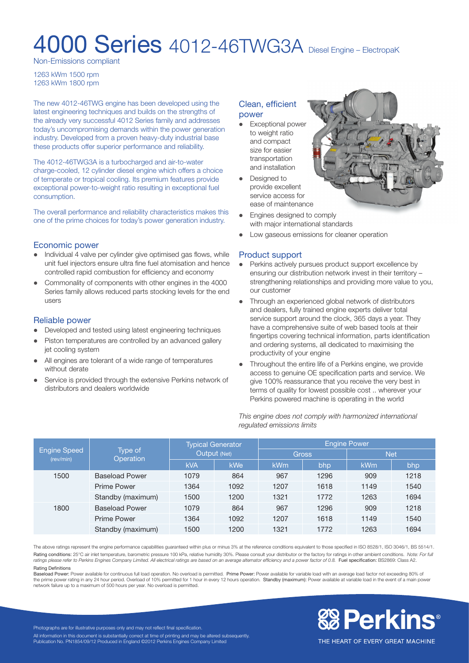# **4000 Series** 4012-46TWG3A Diesel Engine – ElectropaK

Non-Emissions compliant

1263 kWm 1500 rpm 1263 kWm 1800 rpm

The new 4012-46TWG engine has been developed using the latest engineering techniques and builds on the strengths of the already very successful 4012 Series family and addresses today's uncompromising demands within the power generation industry. Developed from a proven heavy-duty industrial base these products offer superior performance and reliability.

The 4012-46TWG3A is a turbocharged and air-to-water charge-cooled, 12 cylinder diesel engine which offers a choice of temperate or tropical cooling. Its premium features provide exceptional power-to-weight ratio resulting in exceptional fuel consumption.

The overall performance and reliability characteristics makes this one of the prime choices for today's power generation industry.

#### Economic power

- Individual 4 valve per cylinder give optimised gas flows, while unit fuel injectors ensure ultra fine fuel atomisation and hence controlled rapid combustion for efficiency and economy
- Commonality of components with other engines in the 4000 Series family allows reduced parts stocking levels for the end users

#### Reliable power

- Developed and tested using latest engineering techniques
- Piston temperatures are controlled by an advanced gallery jet cooling system
- All engines are tolerant of a wide range of temperatures without derate
- Service is provided through the extensive Perkins network of distributors and dealers worldwide

#### Clean, efficient power

- Exceptional power to weight ratio and compact size for easier transportation and installation
- Designed to provide excellent service access for ease of maintenance
- Engines designed to comply with major international standards
- Low gaseous emissions for cleaner operation

# Product support

- Perkins actively pursues product support excellence by ensuring our distribution network invest in their territory – strengthening relationships and providing more value to you, our customer
- Through an experienced global network of distributors and dealers, fully trained engine experts deliver total service support around the clock, 365 days a year. They have a comprehensive suite of web based tools at their fingertips covering technical information, parts identification and ordering systems, all dedicated to maximising the productivity of your engine
- Throughout the entire life of a Perkins engine, we provide access to genuine OE specification parts and service. We give 100% reassurance that you receive the very best in terms of quality for lowest possible cost .. wherever your Perkins powered machine is operating in the world

*This engine does not comply with harmonized international regulated emissions limits*

| <b>Engine Speed</b><br>(rev/min) | Type of<br>Operation  | <b>Typical Generator</b><br>Output (Net) |      | <b>Engine Power</b> |      |            |      |
|----------------------------------|-----------------------|------------------------------------------|------|---------------------|------|------------|------|
|                                  |                       |                                          |      | <b>Gross</b>        |      | <b>Net</b> |      |
|                                  |                       | <b>kVA</b>                               | kWe  | kWm                 | bhp  | kWm        | bhp  |
| 1500                             | <b>Baseload Power</b> | 1079                                     | 864  | 967                 | 1296 | 909        | 1218 |
|                                  | <b>Prime Power</b>    | 1364                                     | 1092 | 1207                | 1618 | 1149       | 1540 |
|                                  | Standby (maximum)     | 1500                                     | 1200 | 1321                | 1772 | 1263       | 1694 |
| 1800                             | <b>Baseload Power</b> | 1079                                     | 864  | 967                 | 1296 | 909        | 1218 |
|                                  | <b>Prime Power</b>    | 1364                                     | 1092 | 1207                | 1618 | 1149       | 1540 |
|                                  | Standby (maximum)     | 1500                                     | 1200 | 1321                | 1772 | 1263       | 1694 |

The above ratings represent the engine performance capabilities guaranteed within plus or minus 3% at the reference conditions equivalent to those specified in ISO 8528/1, ISO 3046/1, BS 5514/1. Rating conditions: 25°C air inlet temperature, barometric pressure 100 kPa, relative humidity 30%. Please consult your distributor or the factory for ratings in other ambient conditions. Note: For full ratings please refer to Perkins Engines Company Limited. All electrical ratings are based on an average alternator efficiency and a power factor of 0.8. Fuel specification: BS2869: Class A2. Rating Definitions

Baseload Power: Power available for continuous full load operation. No overload is permitted. Prime Power: Power available for variable load with an average load factor not exceeding 80% of the prime power rating in any 24 hour period. Overload of 10% permitted for 1 hour in every 12 hours operation. Standby (maximum): Power available at variable load in the event of a main power network failure up to a maximum of 500 hours per year. No overload is permitted.



THE HEART OF EVERY GREAT MACHINE

Photographs are for illustrative purposes only and may not reflect final specification. All information in this document is substantially correct at time of printing and may be altered subsequently. Publication No. PN1854/09/12 Produced in England ©2012 Perkins Engines Company Limited